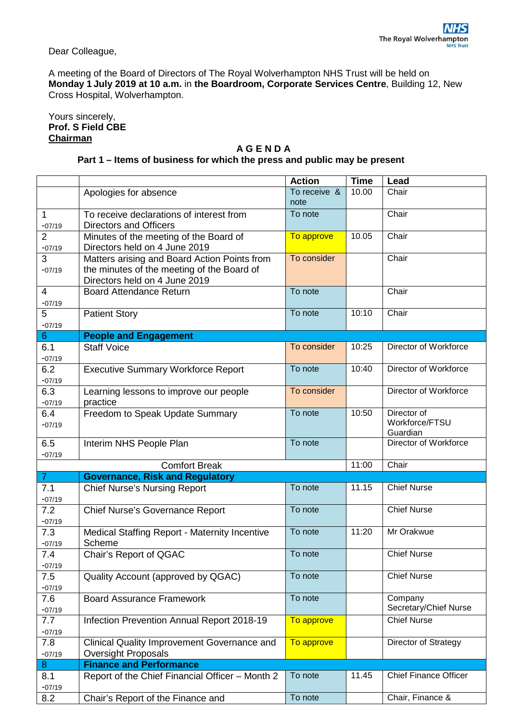Dear Colleague,

A meeting of the Board of Directors of The Royal Wolverhampton NHS Trust will be held on **Monday 1 July 2019 at 10 a.m.** in **the Boardroom, Corporate Services Centre**, Building 12, New Cross Hospital, Wolverhampton.

Yours sincerely, **Prof. S Field CBE Chairman**

## **A G E N D A Part 1 – Items of business for which the press and public may be present**

|                            |                                                                             | <b>Action</b>        | Time  | Lead                         |
|----------------------------|-----------------------------------------------------------------------------|----------------------|-------|------------------------------|
|                            | Apologies for absence                                                       | To receive &<br>note | 10.00 | Chair                        |
| 1<br>$-07/19$              | To receive declarations of interest from<br><b>Directors and Officers</b>   | To note              |       | Chair                        |
| $\overline{2}$<br>$-07/19$ | Minutes of the meeting of the Board of<br>Directors held on 4 June 2019     | To approve           | 10.05 | Chair                        |
| 3                          | Matters arising and Board Action Points from                                | To consider          |       | Chair                        |
| $-07/19$                   | the minutes of the meeting of the Board of<br>Directors held on 4 June 2019 |                      |       |                              |
| 4                          | <b>Board Attendance Return</b>                                              | To note              |       | Chair                        |
| $-07/19$                   |                                                                             |                      |       |                              |
| 5                          | <b>Patient Story</b>                                                        | To note              | 10:10 | Chair                        |
| $-07/19$                   |                                                                             |                      |       |                              |
| $\sqrt{6}$                 | <b>People and Engagement</b>                                                |                      |       |                              |
| 6.1                        | <b>Staff Voice</b>                                                          | To consider          | 10:25 | Director of Workforce        |
| $-07/19$                   |                                                                             |                      |       |                              |
| 6.2                        | <b>Executive Summary Workforce Report</b>                                   | To note              | 10:40 | Director of Workforce        |
| $-07/19$                   |                                                                             | To consider          |       |                              |
| 6.3                        | Learning lessons to improve our people                                      |                      |       | Director of Workforce        |
| $-07/19$<br>6.4            | practice<br>Freedom to Speak Update Summary                                 | To note              | 10:50 | Director of                  |
| $-07/19$                   |                                                                             |                      |       | Workforce/FTSU<br>Guardian   |
| 6.5                        | Interim NHS People Plan                                                     | To note              |       | Director of Workforce        |
| $-07/19$                   |                                                                             |                      |       |                              |
|                            | <b>Comfort Break</b>                                                        |                      | 11:00 | Chair                        |
| 7 <sup>1</sup>             | <b>Governance, Risk and Regulatory</b>                                      |                      |       |                              |
| 7.1<br>$-07/19$            | <b>Chief Nurse's Nursing Report</b>                                         | To note              | 11.15 | <b>Chief Nurse</b>           |
| 7.2<br>$-07/19$            | Chief Nurse's Governance Report                                             | To note              |       | <b>Chief Nurse</b>           |
| 7.3                        | <b>Medical Staffing Report - Maternity Incentive</b>                        | To note              | 11:20 | Mr Orakwue                   |
| $-07/19$                   | Scheme                                                                      |                      |       |                              |
| 7.4<br>$-07/19$            | Chair's Report of QGAC                                                      | To note              |       | <b>Chief Nurse</b>           |
| 7.5                        | Quality Account (approved by QGAC)                                          | To note              |       | <b>Chief Nurse</b>           |
| $-07/19$                   |                                                                             |                      |       |                              |
| 7.6                        | <b>Board Assurance Framework</b>                                            | To note              |       | Company                      |
| $-07/19$                   |                                                                             |                      |       | Secretary/Chief Nurse        |
| 7.7<br>$-07/19$            | Infection Prevention Annual Report 2018-19                                  | To approve           |       | <b>Chief Nurse</b>           |
| 7.8<br>$-07/19$            | Clinical Quality Improvement Governance and<br><b>Oversight Proposals</b>   | To approve           |       | Director of Strategy         |
| 8                          | <b>Finance and Performance</b>                                              |                      |       |                              |
| 8.1<br>$-07/19$            | Report of the Chief Financial Officer - Month 2                             | To note              | 11.45 | <b>Chief Finance Officer</b> |
| 8.2                        | Chair's Report of the Finance and                                           | To note              |       | Chair, Finance &             |